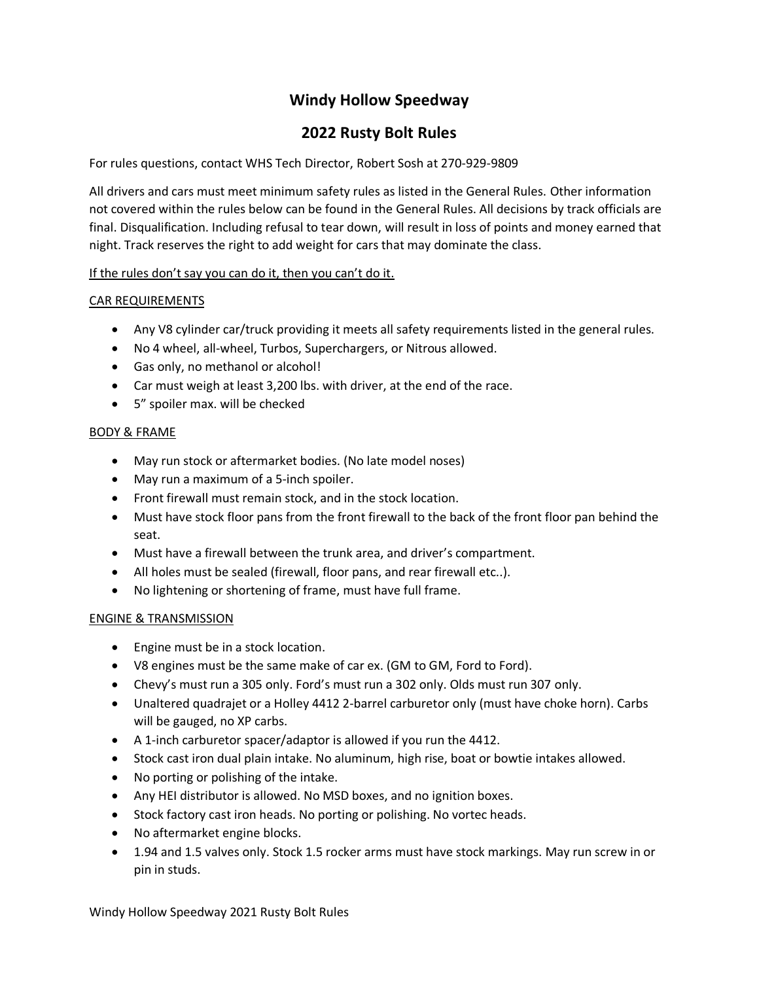# **Windy Hollow Speedway**

# **2022 Rusty Bolt Rules**

For rules questions, contact WHS Tech Director, Robert Sosh at 270-929-9809

All drivers and cars must meet minimum safety rules as listed in the General Rules. Other information not covered within the rules below can be found in the General Rules. All decisions by track officials are final. Disqualification. Including refusal to tear down, will result in loss of points and money earned that night. Track reserves the right to add weight for cars that may dominate the class.

# If the rules don't say you can do it, then you can't do it.

# CAR REQUIREMENTS

- Any V8 cylinder car/truck providing it meets all safety requirements listed in the general rules.
- No 4 wheel, all-wheel, Turbos, Superchargers, or Nitrous allowed.
- Gas only, no methanol or alcohol!
- Car must weigh at least 3,200 lbs. with driver, at the end of the race.
- 5" spoiler max. will be checked

#### BODY & FRAME

- May run stock or aftermarket bodies. (No late model noses)
- May run a maximum of a 5-inch spoiler.
- Front firewall must remain stock, and in the stock location.
- Must have stock floor pans from the front firewall to the back of the front floor pan behind the seat.
- Must have a firewall between the trunk area, and driver's compartment.
- All holes must be sealed (firewall, floor pans, and rear firewall etc..).
- No lightening or shortening of frame, must have full frame.

# ENGINE & TRANSMISSION

- Engine must be in a stock location.
- V8 engines must be the same make of car ex. (GM to GM, Ford to Ford).
- Chevy's must run a 305 only. Ford's must run a 302 only. Olds must run 307 only.
- Unaltered quadrajet or a Holley 4412 2-barrel carburetor only (must have choke horn). Carbs will be gauged, no XP carbs.
- A 1-inch carburetor spacer/adaptor is allowed if you run the 4412.
- Stock cast iron dual plain intake. No aluminum, high rise, boat or bowtie intakes allowed.
- No porting or polishing of the intake.
- Any HEI distributor is allowed. No MSD boxes, and no ignition boxes.
- Stock factory cast iron heads. No porting or polishing. No vortec heads.
- No aftermarket engine blocks.
- 1.94 and 1.5 valves only. Stock 1.5 rocker arms must have stock markings. May run screw in or pin in studs.

Windy Hollow Speedway 2021 Rusty Bolt Rules